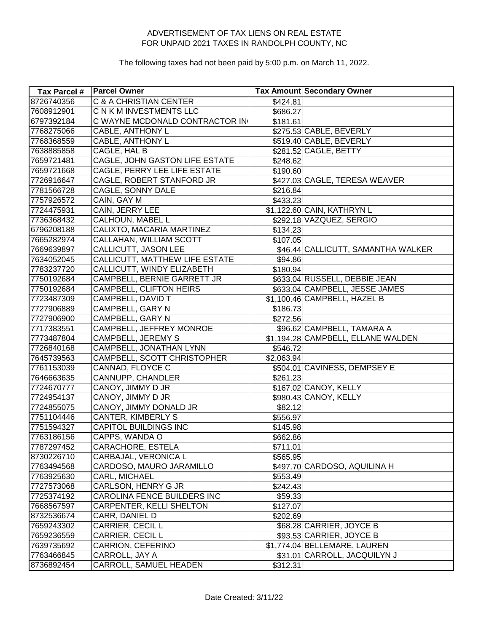| Tax Parcel # | <b>Parcel Owner</b>                   |            | <b>Tax Amount Secondary Owner</b>  |
|--------------|---------------------------------------|------------|------------------------------------|
| 8726740356   | <b>C &amp; A CHRISTIAN CENTER</b>     | \$424.81   |                                    |
| 7608912901   | C N K M INVESTMENTS LLC               | \$686.27   |                                    |
| 6797392184   | C WAYNE MCDONALD CONTRACTOR IN        | \$181.61   |                                    |
| 7768275066   | CABLE, ANTHONY L                      |            | \$275.53 CABLE, BEVERLY            |
| 7768368559   | CABLE, ANTHONY L                      |            | \$519.40 CABLE, BEVERLY            |
| 7638885858   | CAGLE, HAL B                          |            | \$281.52 CAGLE, BETTY              |
| 7659721481   | CAGLE, JOHN GASTON LIFE ESTATE        | \$248.62   |                                    |
| 7659721668   | CAGLE, PERRY LEE LIFE ESTATE          | \$190.60   |                                    |
| 7726916647   | CAGLE, ROBERT STANFORD JR             |            | \$427.03 CAGLE, TERESA WEAVER      |
| 7781566728   | CAGLE, SONNY DALE                     | \$216.84   |                                    |
| 7757926572   | CAIN, GAY M                           | \$433.23   |                                    |
| 7724475931   | CAIN, JERRY LEE                       |            | \$1,122.60 CAIN, KATHRYN L         |
| 7736368432   | CALHOUN, MABEL L                      |            | \$292.18 VAZQUEZ, SERGIO           |
| 6796208188   | CALIXTO, MACARIA MARTINEZ             | \$134.23   |                                    |
| 7665282974   | CALLAHAN, WILLIAM SCOTT               | \$107.05   |                                    |
| 7669639897   | <b>CALLICUTT, JASON LEE</b>           |            | \$46.44 CALLICUTT, SAMANTHA WALKER |
| 7634052045   | <b>CALLICUTT, MATTHEW LIFE ESTATE</b> | \$94.86    |                                    |
| 7783237720   | CALLICUTT, WINDY ELIZABETH            | \$180.94   |                                    |
| 7750192684   | CAMPBELL, BERNIE GARRETT JR           |            | \$633.04 RUSSELL, DEBBIE JEAN      |
| 7750192684   | CAMPBELL, CLIFTON HEIRS               |            | \$633.04 CAMPBELL, JESSE JAMES     |
| 7723487309   | CAMPBELL, DAVID T                     |            | \$1,100.46 CAMPBELL, HAZEL B       |
| 7727906889   | CAMPBELL, GARY N                      | \$186.73   |                                    |
| 7727906900   | CAMPBELL, GARY N                      | \$272.56   |                                    |
| 7717383551   | CAMPBELL, JEFFREY MONROE              |            | \$96.62 CAMPBELL, TAMARA A         |
| 7773487804   | CAMPBELL, JEREMY S                    |            | \$1,194.28 CAMPBELL, ELLANE WALDEN |
| 7726840168   | CAMPBELL, JONATHAN LYNN               | \$546.72   |                                    |
| 7645739563   | CAMPBELL, SCOTT CHRISTOPHER           | \$2,063.94 |                                    |
| 7761153039   | CANNAD, FLOYCE C                      |            | \$504.01 CAVINESS, DEMPSEY E       |
| 7646663635   | CANNUPP, CHANDLER                     | \$261.23   |                                    |
| 7724670777   | CANOY, JIMMY D JR                     |            | \$167.02 CANOY, KELLY              |
| 7724954137   | CANOY, JIMMY D JR                     |            | \$980.43 CANOY, KELLY              |
| 7724855075   | CANOY, JIMMY DONALD JR                | \$82.12    |                                    |
| 7751104446   | <b>CANTER, KIMBERLY S</b>             | \$556.97   |                                    |
| 7751594327   | <b>CAPITOL BUILDINGS INC</b>          | \$145.98   |                                    |
| 7763186156   | CAPPS, WANDA O                        | \$662.86   |                                    |
| 7787297452   | CARACHORE, ESTELA                     | \$711.01   |                                    |
| 8730226710   | CARBAJAL, VERONICA L                  | \$565.95   |                                    |
| 7763494568   | CARDOSO, MAURO JARAMILLO              |            | \$497.70 CARDOSO, AQUILINA H       |
| 7763925630   | CARL, MICHAEL                         | \$553.49   |                                    |
| 7727573068   | CARLSON, HENRY G JR                   | \$242.43   |                                    |
| 7725374192   | CAROLINA FENCE BUILDERS INC           | \$59.33    |                                    |
| 7668567597   | CARPENTER, KELLI SHELTON              | \$127.07   |                                    |
| 8732536674   | CARR, DANIEL D                        | \$202.69   |                                    |
| 7659243302   | CARRIER, CECIL L                      |            | \$68.28 CARRIER, JOYCE B           |
| 7659236559   | CARRIER, CECIL L                      |            | \$93.53 CARRIER, JOYCE B           |
| 7639735692   | CARRION, CEFERINO                     |            | \$1,774.04 BELLEMARE, LAUREN       |
| 7763466845   | CARROLL, JAY A                        |            | \$31.01 CARROLL, JACQUILYN J       |
| 8736892454   | CARROLL, SAMUEL HEADEN                | \$312.31   |                                    |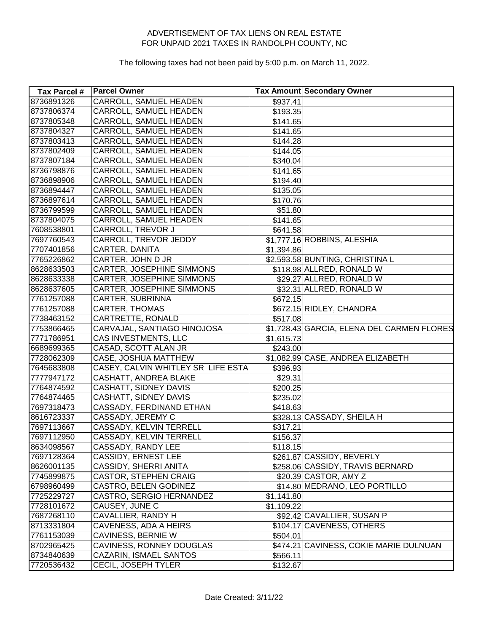| Tax Parcel # | <b>Parcel Owner</b>                |            | Tax Amount Secondary Owner                 |
|--------------|------------------------------------|------------|--------------------------------------------|
| 8736891326   | <b>CARROLL, SAMUEL HEADEN</b>      | \$937.41   |                                            |
| 8737806374   | CARROLL, SAMUEL HEADEN             | \$193.35   |                                            |
| 8737805348   | CARROLL, SAMUEL HEADEN             | \$141.65   |                                            |
| 8737804327   | CARROLL, SAMUEL HEADEN             | \$141.65   |                                            |
| 8737803413   | CARROLL, SAMUEL HEADEN             | \$144.28   |                                            |
| 8737802409   | CARROLL, SAMUEL HEADEN             | \$144.05   |                                            |
| 8737807184   | CARROLL, SAMUEL HEADEN             | \$340.04   |                                            |
| 8736798876   | CARROLL, SAMUEL HEADEN             | \$141.65   |                                            |
| 8736898906   | CARROLL, SAMUEL HEADEN             | \$194.40   |                                            |
| 8736894447   | CARROLL, SAMUEL HEADEN             | \$135.05   |                                            |
| 8736897614   | CARROLL, SAMUEL HEADEN             | \$170.76   |                                            |
| 8736799599   | CARROLL, SAMUEL HEADEN             | \$51.80    |                                            |
| 8737804075   | CARROLL, SAMUEL HEADEN             | \$141.65   |                                            |
| 7608538801   | CARROLL, TREVOR J                  | \$641.58   |                                            |
| 7697760543   | CARROLL, TREVOR JEDDY              |            | \$1,777.16 ROBBINS, ALESHIA                |
| 7707401856   | CARTER, DANITA                     | \$1,394.86 |                                            |
| 7765226862   | CARTER, JOHN D JR                  |            | \$2,593.58 BUNTING, CHRISTINA L            |
| 8628633503   | CARTER, JOSEPHINE SIMMONS          |            | \$118.98 ALLRED, RONALD W                  |
| 8628633338   | CARTER, JOSEPHINE SIMMONS          |            | \$29.27 ALLRED, RONALD W                   |
| 8628637605   | CARTER, JOSEPHINE SIMMONS          |            | \$32.31 ALLRED, RONALD W                   |
| 7761257088   | CARTER, SUBRINNA                   | \$672.15   |                                            |
| 7761257088   | <b>CARTER, THOMAS</b>              |            | \$672.15 RIDLEY, CHANDRA                   |
| 7738463152   | CARTRETTE, RONALD                  | \$517.08   |                                            |
| 7753866465   | CARVAJAL, SANTIAGO HINOJOSA        |            | \$1,728.43 GARCIA, ELENA DEL CARMEN FLORES |
| 7771786951   | CAS INVESTMENTS, LLC               | \$1,615.73 |                                            |
| 6689699365   | CASAD, SCOTT ALAN JR               | \$243.00   |                                            |
| 7728062309   | CASE, JOSHUA MATTHEW               |            | \$1,082.99 CASE, ANDREA ELIZABETH          |
| 7645683808   | CASEY, CALVIN WHITLEY SR LIFE ESTA | \$396.93   |                                            |
| 7777947172   | CASHATT, ANDREA BLAKE              | \$29.31    |                                            |
| 7764874592   | <b>CASHATT, SIDNEY DAVIS</b>       | \$200.25   |                                            |
| 7764874465   | CASHATT, SIDNEY DAVIS              | \$235.02   |                                            |
| 7697318473   | CASSADY, FERDINAND ETHAN           | \$418.63   |                                            |
| 8616723337   | CASSADY, JEREMY C                  |            | \$328.13 CASSADY, SHEILA H                 |
| 7697113667   | CASSADY, KELVIN TERRELL            | \$317.21   |                                            |
| 7697112950   | CASSADY, KELVIN TERRELL            | \$156.37   |                                            |
| 8634098567   | CASSADY, RANDY LEE                 | \$118.15   |                                            |
| 7697128364   | CASSIDY, ERNEST LEE                |            | \$261.87 CASSIDY, BEVERLY                  |
| 8626001135   | CASSIDY, SHERRI ANITA              |            | \$258.06 CASSIDY, TRAVIS BERNARD           |
| 7745899875   | <b>CASTOR, STEPHEN CRAIG</b>       |            | \$20.39 CASTOR, AMY Z                      |
| 6798960499   | CASTRO, BELEN GODINEZ              |            | \$14.80 MEDRANO, LEO PORTILLO              |
| 7725229727   | CASTRO, SERGIO HERNANDEZ           | \$1,141.80 |                                            |
| 7728101672   | CAUSEY, JUNE C                     | \$1,109.22 |                                            |
| 7687268110   | CAVALLIER, RANDY H                 |            | \$92.42 CAVALLIER, SUSAN P                 |
| 8713331804   | CAVENESS, ADA A HEIRS              |            | \$104.17 CAVENESS, OTHERS                  |
| 7761153039   | CAVINESS, BERNIE W                 | \$504.01   |                                            |
| 8702965425   | CAVINESS, RONNEY DOUGLAS           |            | \$474.21 CAVINESS, COKIE MARIE DULNUAN     |
| 8734840639   | CAZARIN, ISMAEL SANTOS             | \$566.11   |                                            |
| 7720536432   | CECIL, JOSEPH TYLER                | \$132.67   |                                            |
|              |                                    |            |                                            |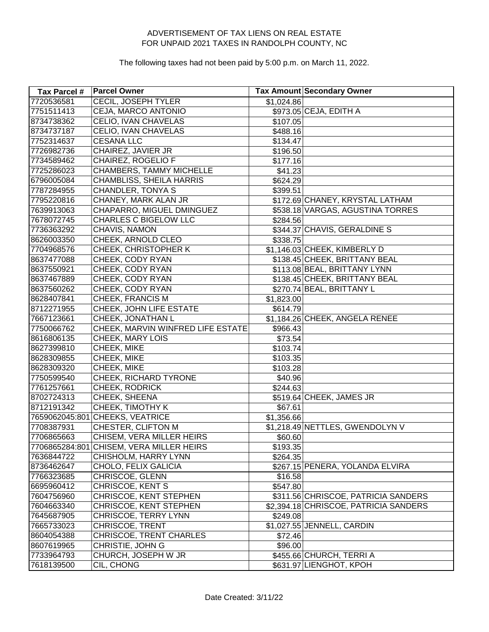| Tax Parcel # | <b>Parcel Owner</b>                      |            | Tax Amount Secondary Owner            |
|--------------|------------------------------------------|------------|---------------------------------------|
| 7720536581   | <b>CECIL, JOSEPH TYLER</b>               | \$1,024.86 |                                       |
| 7751511413   | <b>CEJA, MARCO ANTONIO</b>               |            | \$973.05 CEJA, EDITH A                |
| 8734738362   | CELIO, IVAN CHAVELAS                     | \$107.05   |                                       |
| 8734737187   | CELIO, IVAN CHAVELAS                     | \$488.16   |                                       |
| 7752314637   | <b>CESANA LLC</b>                        | \$134.47   |                                       |
| 7726982736   | CHAIREZ, JAVIER JR                       | \$196.50   |                                       |
| 7734589462   | CHAIREZ, ROGELIO F                       | \$177.16   |                                       |
| 7725286023   | CHAMBERS, TAMMY MICHELLE                 | \$41.23    |                                       |
| 6796005084   | CHAMBLISS, SHEILA HARRIS                 | \$624.29   |                                       |
| 7787284955   | <b>CHANDLER, TONYA S</b>                 | \$399.51   |                                       |
| 7795220816   | CHANEY, MARK ALAN JR                     |            | \$172.69 CHANEY, KRYSTAL LATHAM       |
| 7639913063   | CHAPARRO, MIGUEL DMINGUEZ                |            | \$538.18 VARGAS, AGUSTINA TORRES      |
| 7678072745   | <b>CHARLES C BIGELOW LLC</b>             | \$284.56   |                                       |
| 7736363292   | CHAVIS, NAMON                            |            | \$344.37 CHAVIS, GERALDINE S          |
| 8626003350   | CHEEK, ARNOLD CLEO                       | \$338.75   |                                       |
| 7704968576   | CHEEK, CHRISTOPHER K                     |            | \$1,146.03 CHEEK, KIMBERLY D          |
| 8637477088   | <b>CHEEK, CODY RYAN</b>                  |            | \$138.45 CHEEK, BRITTANY BEAL         |
| 8637550921   | CHEEK, CODY RYAN                         |            | \$113.08 BEAL, BRITTANY LYNN          |
| 8637467889   | <b>CHEEK, CODY RYAN</b>                  |            | \$138.45 CHEEK, BRITTANY BEAL         |
| 8637560262   | CHEEK, CODY RYAN                         |            | \$270.74 BEAL, BRITTANY L             |
| 8628407841   | CHEEK, FRANCIS M                         | \$1,823.00 |                                       |
| 8712271955   | CHEEK, JOHN LIFE ESTATE                  | \$614.79   |                                       |
| 7667123661   | CHEEK, JONATHAN L                        |            | \$1,184.26 CHEEK, ANGELA RENEE        |
| 7750066762   | CHEEK, MARVIN WINFRED LIFE ESTATE        | \$966.43   |                                       |
| 8616806135   | CHEEK, MARY LOIS                         | \$73.54    |                                       |
| 8627399810   | CHEEK, MIKE                              | \$103.74   |                                       |
| 8628309855   | CHEEK, MIKE                              | \$103.35   |                                       |
| 8628309320   | CHEEK, MIKE                              | \$103.28   |                                       |
| 7750599540   | CHEEK, RICHARD TYRONE                    | \$40.96    |                                       |
| 7761257661   | CHEEK, RODRICK                           | \$244.63   |                                       |
| 8702724313   | CHEEK, SHEENA                            |            | \$519.64 CHEEK, JAMES JR              |
| 8712191342   | <b>CHEEK, TIMOTHY K</b>                  | \$67.61    |                                       |
|              | 7659062045:801 CHEEKS, VEATRICE          | \$1,356.66 |                                       |
| 7708387931   | <b>CHESTER, CLIFTON M</b>                |            | \$1,218.49 NETTLES, GWENDOLYN V       |
| 7706865663   | CHISEM, VERA MILLER HEIRS                | \$60.60    |                                       |
|              | 7706865284:801 CHISEM, VERA MILLER HEIRS | \$193.35   |                                       |
| 7636844722   | CHISHOLM, HARRY LYNN                     | \$264.35   |                                       |
| 8736462647   | CHOLO, FELIX GALICIA                     |            | \$267.15 PENERA, YOLANDA ELVIRA       |
| 7766323685   | CHRISCOE, GLENN                          | \$16.58    |                                       |
| 6695960412   | CHRISCOE, KENT S                         | \$547.80   |                                       |
| 7604756960   | CHRISCOE, KENT STEPHEN                   |            | \$311.56 CHRISCOE, PATRICIA SANDERS   |
| 7604663340   | CHRISCOE, KENT STEPHEN                   |            | \$2,394.18 CHRISCOE, PATRICIA SANDERS |
| 7645687905   | CHRISCOE, TERRY LYNN                     | \$249.08   |                                       |
| 7665733023   | CHRISCOE, TRENT                          |            | \$1,027.55 JENNELL, CARDIN            |
| 8604054388   | CHRISCOE, TRENT CHARLES                  | \$72.46    |                                       |
| 8607619965   | CHRISTIE, JOHN G                         | \$96.00    |                                       |
| 7733964793   | CHURCH, JOSEPH W JR                      |            | \$455.66 CHURCH, TERRIA               |
| 7618139500   | CIL, CHONG                               |            | \$631.97 LIENGHOT, KPOH               |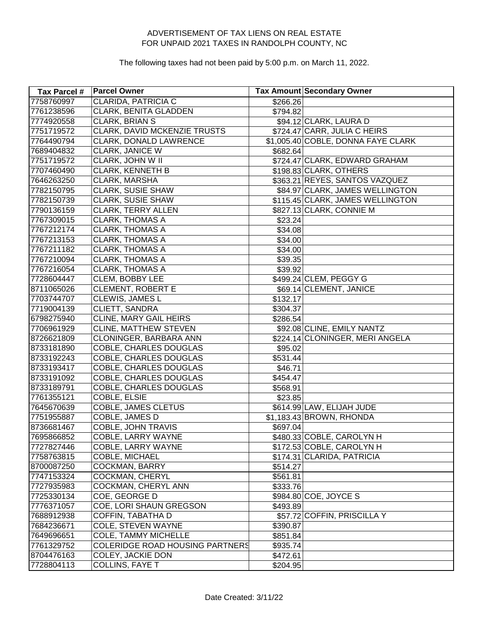| Tax Parcel # | <b>Parcel Owner</b>                    |                     | <b>Tax Amount Secondary Owner</b>  |
|--------------|----------------------------------------|---------------------|------------------------------------|
| 7758760997   | CLARIDA, PATRICIA C                    | \$266.26            |                                    |
| 7761238596   | CLARK, BENITA GLADDEN                  | \$794.82            |                                    |
| 7774920558   | <b>CLARK, BRIAN S</b>                  |                     | \$94.12 CLARK, LAURA D             |
| 7751719572   | CLARK, DAVID MCKENZIE TRUSTS           |                     | \$724.47 CARR, JULIA C HEIRS       |
| 7764490794   | CLARK, DONALD LAWRENCE                 |                     | \$1,005.40 COBLE, DONNA FAYE CLARK |
| 7689404832   | <b>CLARK, JANICE W</b>                 | \$682.64            |                                    |
| 7751719572   | CLARK, JOHN W II                       |                     | \$724.47 CLARK, EDWARD GRAHAM      |
| 7707460490   | <b>CLARK, KENNETH B</b>                |                     | \$198.83 CLARK, OTHERS             |
| 7646263250   | CLARK, MARSHA                          |                     | \$363.21 REYES, SANTOS VAZQUEZ     |
| 7782150795   | <b>CLARK, SUSIE SHAW</b>               |                     | \$84.97 CLARK, JAMES WELLINGTON    |
| 7782150739   | <b>CLARK, SUSIE SHAW</b>               |                     | \$115.45 CLARK, JAMES WELLINGTON   |
| 7790136159   | <b>CLARK, TERRY ALLEN</b>              |                     | \$827.13 CLARK, CONNIE M           |
| 7767309015   | <b>CLARK, THOMAS A</b>                 | \$23.24             |                                    |
| 7767212174   | <b>CLARK, THOMAS A</b>                 | \$34.08             |                                    |
| 7767213153   | <b>CLARK, THOMAS A</b>                 | \$34.00             |                                    |
| 7767211182   | <b>CLARK, THOMAS A</b>                 | \$34.00             |                                    |
| 7767210094   | <b>CLARK, THOMAS A</b>                 | $\overline{$}39.35$ |                                    |
| 7767216054   | <b>CLARK, THOMAS A</b>                 | \$39.92             |                                    |
| 7728604447   | CLEM, BOBBY LEE                        |                     | \$499.24 CLEM, PEGGY G             |
| 8711065026   | <b>CLEMENT, ROBERT E</b>               |                     | \$69.14 CLEMENT, JANICE            |
| 7703744707   | CLEWIS, JAMES L                        | \$132.17            |                                    |
| 7719004139   | CLIETT, SANDRA                         | \$304.37            |                                    |
| 6798275940   | CLINE, MARY GAIL HEIRS                 | \$286.54            |                                    |
| 7706961929   | <b>CLINE, MATTHEW STEVEN</b>           |                     | \$92.08 CLINE, EMILY NANTZ         |
| 8726621809   | CLONINGER, BARBARA ANN                 |                     | \$224.14 CLONINGER, MERI ANGELA    |
| 8733181890   | COBLE, CHARLES DOUGLAS                 | \$95.02             |                                    |
| 8733192243   | COBLE, CHARLES DOUGLAS                 | \$531.44            |                                    |
| 8733193417   | COBLE, CHARLES DOUGLAS                 | \$46.71             |                                    |
| 8733191092   | COBLE, CHARLES DOUGLAS                 | \$454.47            |                                    |
| 8733189791   | COBLE, CHARLES DOUGLAS                 | \$568.91            |                                    |
| 7761355121   | COBLE, ELSIE                           | \$23.85             |                                    |
| 7645670639   | <b>COBLE, JAMES CLETUS</b>             |                     | \$614.99 LAW, ELIJAH JUDE          |
| 7751955887   | COBLE, JAMES D                         |                     | \$1,183.43 BROWN, RHONDA           |
| 8736681467   | COBLE, JOHN TRAVIS                     | \$697.04            |                                    |
| 7695866852   | COBLE, LARRY WAYNE                     |                     | \$480.33 COBLE, CAROLYN H          |
| 7727827446   | COBLE, LARRY WAYNE                     |                     | \$172.53 COBLE, CAROLYN H          |
| 7758763815   | COBLE, MICHAEL                         |                     | \$174.31 CLARIDA, PATRICIA         |
| 8700087250   | COCKMAN, BARRY                         | \$514.27            |                                    |
| 7747153324   | COCKMAN, CHERYL                        | \$561.81            |                                    |
| 7727935983   | COCKMAN, CHERYL ANN                    | \$333.76            |                                    |
| 7725330134   | COE, GEORGE D                          |                     | \$984.80 COE, JOYCE S              |
| 7776371057   | COE, LORI SHAUN GREGSON                | \$493.89            |                                    |
| 7688912938   | COFFIN, TABATHA D                      |                     | \$57.72 COFFIN, PRISCILLA Y        |
| 7684236671   | COLE, STEVEN WAYNE                     | \$390.87            |                                    |
| 7649696651   | <b>COLE, TAMMY MICHELLE</b>            | \$851.84            |                                    |
| 7761329752   | <b>COLERIDGE ROAD HOUSING PARTNERS</b> | \$935.74            |                                    |
| 8704476163   | COLEY, JACKIE DON                      | \$472.61            |                                    |
| 7728804113   | <b>COLLINS, FAYE T</b>                 | \$204.95            |                                    |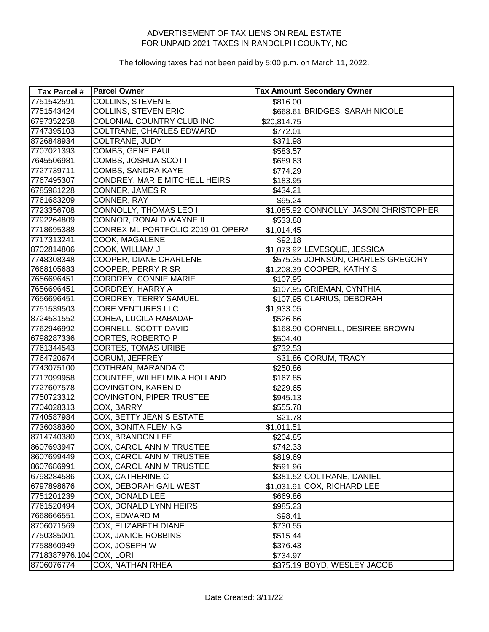| Tax Parcel #             | <b>Parcel Owner</b>               |             | Tax Amount Secondary Owner             |
|--------------------------|-----------------------------------|-------------|----------------------------------------|
| 7751542591               | <b>COLLINS, STEVEN E</b>          | \$816.00    |                                        |
| 7751543424               | <b>COLLINS, STEVEN ERIC</b>       |             | \$668.61 BRIDGES, SARAH NICOLE         |
| 6797352258               | COLONIAL COUNTRY CLUB INC         | \$20,814.75 |                                        |
| 7747395103               | COLTRANE, CHARLES EDWARD          | \$772.01    |                                        |
| 8726848934               | COLTRANE, JUDY                    | \$371.98    |                                        |
| 7707021393               | COMBS, GENE PAUL                  | \$583.57    |                                        |
| 7645506981               | COMBS, JOSHUA SCOTT               | \$689.63    |                                        |
| 7727739711               | COMBS, SANDRA KAYE                | \$774.29    |                                        |
| 7767495307               | CONDREY, MARIE MITCHELL HEIRS     | \$183.95    |                                        |
| 6785981228               | CONNER, JAMES R                   | \$434.21    |                                        |
| 7761683209               | CONNER, RAY                       | \$95.24     |                                        |
| 7723356708               | CONNOLLY, THOMAS LEO II           |             | \$1,085.92 CONNOLLY, JASON CHRISTOPHER |
| 7792264809               | CONNOR, RONALD WAYNE II           | \$533.88    |                                        |
| 7718695388               | CONREX ML PORTFOLIO 2019 01 OPERA | \$1,014.45  |                                        |
| 7717313241               | COOK, MAGALENE                    | \$92.18     |                                        |
| 8702814806               | COOK, WILLIAM J                   |             | \$1,073.92 LEVESQUE, JESSICA           |
| 7748308348               | COOPER, DIANE CHARLENE            |             | \$575.35 JOHNSON, CHARLES GREGORY      |
| 7668105683               | COOPER, PERRY R SR                |             | \$1,208.39 COOPER, KATHY S             |
| 7656696451               | <b>CORDREY, CONNIE MARIE</b>      | \$107.95    |                                        |
| 7656696451               | <b>CORDREY, HARRY A</b>           |             | \$107.95 GRIEMAN, CYNTHIA              |
| 7656696451               | <b>CORDREY, TERRY SAMUEL</b>      |             | \$107.95 CLARIUS, DEBORAH              |
| 7751539503               | <b>CORE VENTURES LLC</b>          | \$1,933.05  |                                        |
| 8724531552               | COREA, LUCILA RABADAH             | \$526.66    |                                        |
| 7762946992               | CORNELL, SCOTT DAVID              |             | \$168.90 CORNELL, DESIREE BROWN        |
| 6798287336               | CORTES, ROBERTO P                 | \$504.40    |                                        |
| 7761344543               | <b>CORTES, TOMAS URIBE</b>        | \$732.53    |                                        |
| 7764720674               | CORUM, JEFFREY                    |             | \$31.86 CORUM, TRACY                   |
| 7743075100               | COTHRAN, MARANDA C                | \$250.86    |                                        |
| 7717099958               | COUNTEE, WILHELMINA HOLLAND       | \$167.85    |                                        |
| 7727607578               | COVINGTON, KAREN D                | \$229.65    |                                        |
| 7750723312               | COVINGTON, PIPER TRUSTEE          | \$945.13    |                                        |
| 7704028313               | COX, BARRY                        | \$555.78    |                                        |
| 7740587984               | COX, BETTY JEAN S ESTATE          | \$21.78     |                                        |
| 7736038360               | COX, BONITA FLEMING               | \$1,011.51  |                                        |
| 8714740380               | COX, BRANDON LEE                  | \$204.85    |                                        |
| 8607693947               | COX, CAROL ANN M TRUSTEE          | \$742.33    |                                        |
| 8607699449               | COX, CAROL ANN M TRUSTEE          | \$819.69    |                                        |
| 8607686991               | COX, CAROL ANN M TRUSTEE          | \$591.96    |                                        |
| 6798284586               | COX, CATHERINE C                  |             | \$381.52 COLTRANE, DANIEL              |
| 6797898676               | COX, DEBORAH GAIL WEST            |             | \$1,031.91 COX, RICHARD LEE            |
| 7751201239               | COX, DONALD LEE                   | \$669.86    |                                        |
| 7761520494               | COX, DONALD LYNN HEIRS            | \$985.23    |                                        |
| 7668666551               | COX, EDWARD M                     | \$98.41     |                                        |
| 8706071569               | COX, ELIZABETH DIANE              | \$730.55    |                                        |
| 7750385001               | COX, JANICE ROBBINS               | \$515.44    |                                        |
| 7758860949               | COX, JOSEPH W                     | \$376.43    |                                        |
| 7718387976:104 COX, LORI |                                   | \$734.97    |                                        |
| 8706076774               | COX, NATHAN RHEA                  |             | \$375.19 BOYD, WESLEY JACOB            |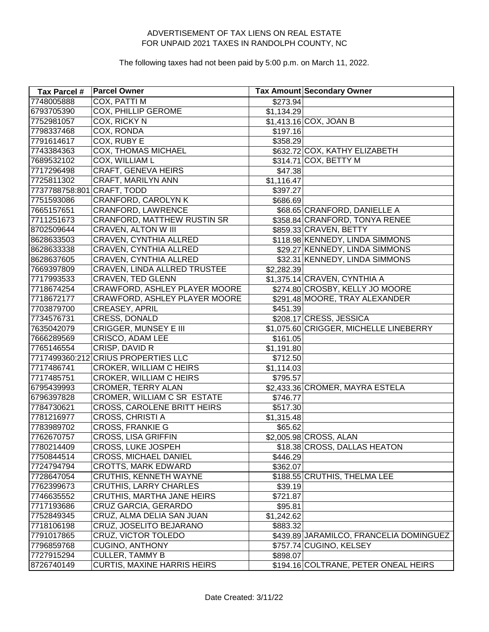| Tax Parcel #               | <b>Parcel Owner</b>                 |            | <b>Tax Amount Secondary Owner</b>       |
|----------------------------|-------------------------------------|------------|-----------------------------------------|
| 7748005888                 | <b>COX, PATTI M</b>                 | \$273.94   |                                         |
| 6793705390                 | COX, PHILLIP GEROME                 | \$1,134.29 |                                         |
| 7752981057                 | COX, RICKY N                        |            | \$1,413.16 COX, JOAN B                  |
| 7798337468                 | COX, RONDA                          | \$197.16   |                                         |
| 7791614617                 | COX, RUBY E                         | \$358.29   |                                         |
| 7743384363                 | <b>COX, THOMAS MICHAEL</b>          |            | \$632.72 COX, KATHY ELIZABETH           |
| 7689532102                 | COX, WILLIAM L                      |            | \$314.71 COX, BETTY M                   |
| 7717296498                 | CRAFT, GENEVA HEIRS                 | \$47.38    |                                         |
| 7725811302                 | CRAFT, MARILYN ANN                  | \$1,116.47 |                                         |
| 7737788758:801 CRAFT, TODD |                                     | \$397.27   |                                         |
| 7751593086                 | CRANFORD, CAROLYN K                 | \$686.69   |                                         |
| 7665157651                 | CRANFORD, LAWRENCE                  |            | \$68.65 CRANFORD, DANIELLE A            |
| 7711251673                 | CRANFORD, MATTHEW RUSTIN SR         |            | \$358.84 CRANFORD, TONYA RENEE          |
| 8702509644                 | CRAVEN, ALTON W III                 |            | \$859.33 CRAVEN, BETTY                  |
| 8628633503                 | CRAVEN, CYNTHIA ALLRED              |            | \$118.98 KENNEDY, LINDA SIMMONS         |
| 8628633338                 | CRAVEN, CYNTHIA ALLRED              |            | \$29.27 KENNEDY, LINDA SIMMONS          |
| 8628637605                 | CRAVEN, CYNTHIA ALLRED              |            | \$32.31 KENNEDY, LINDA SIMMONS          |
| 7669397809                 | CRAVEN, LINDA ALLRED TRUSTEE        | \$2,282.39 |                                         |
| 7717993533                 | <b>CRAVEN, TED GLENN</b>            |            | \$1,375.14 CRAVEN, CYNTHIA A            |
| 7718674254                 | CRAWFORD, ASHLEY PLAYER MOORE       |            | \$274.80 CROSBY, KELLY JO MOORE         |
| 7718672177                 | CRAWFORD, ASHLEY PLAYER MOORE       |            | \$291.48 MOORE, TRAY ALEXANDER          |
| 7703879700                 | CREASEY, APRIL                      | \$451.39   |                                         |
| 7734576731                 | CRESS, DONALD                       |            | \$208.17 CRESS, JESSICA                 |
| 7635042079                 | CRIGGER, MUNSEY E III               |            | \$1,075.60 CRIGGER, MICHELLE LINEBERRY  |
| 7666289569                 | CRISCO, ADAM LEE                    | \$161.05   |                                         |
| 7765146554                 | CRISP, DAVID R                      | \$1,191.80 |                                         |
|                            | 7717499360:212 CRIUS PROPERTIES LLC | \$712.50   |                                         |
| 7717486741                 | CROKER, WILLIAM C HEIRS             | \$1,114.03 |                                         |
| 7717485751                 | CROKER, WILLIAM C HEIRS             | \$795.57   |                                         |
| 6795439993                 | <b>CROMER, TERRY ALAN</b>           |            | \$2,433.36 CROMER, MAYRA ESTELA         |
| 6796397828                 | CROMER, WILLIAM C SR ESTATE         | \$746.77   |                                         |
| 7784730621                 | CROSS, CAROLENE BRITT HEIRS         | \$517.30   |                                         |
| 7781216977                 | CROSS, CHRISTI A                    | \$1,315.48 |                                         |
| 7783989702                 | <b>CROSS, FRANKIE G</b>             | \$65.62    |                                         |
| 7762670757                 | <b>CROSS, LISA GRIFFIN</b>          |            | \$2,005.98 CROSS, ALAN                  |
| 7780214409                 | CROSS, LUKE JOSPEH                  |            | \$18.38 CROSS, DALLAS HEATON            |
| 7750844514                 | <b>CROSS, MICHAEL DANIEL</b>        | \$446.29   |                                         |
| 7724794794                 | <b>CROTTS, MARK EDWARD</b>          | \$362.07   |                                         |
| 7728647054                 | <b>CRUTHIS, KENNETH WAYNE</b>       |            | \$188.55 CRUTHIS, THELMA LEE            |
| 7762399673                 | <b>CRUTHIS, LARRY CHARLES</b>       | \$39.19    |                                         |
| 7746635552                 | CRUTHIS, MARTHA JANE HEIRS          | \$721.87   |                                         |
| 7717193686                 | CRUZ GARCIA, GERARDO                | \$95.81    |                                         |
| 7752849345                 | CRUZ, ALMA DELIA SAN JUAN           | \$1,242.62 |                                         |
| 7718106198                 | CRUZ, JOSELITO BEJARANO             | \$883.32   |                                         |
| 7791017865                 | <b>CRUZ, VICTOR TOLEDO</b>          |            | \$439.89 JARAMILCO, FRANCELIA DOMINGUEZ |
| 7796859768                 | <b>CUGINO, ANTHONY</b>              |            | \$757.74 CUGINO, KELSEY                 |
| 7727915294                 | <b>CULLER, TAMMY B</b>              | \$898.07   |                                         |
| 8726740149                 | <b>CURTIS, MAXINE HARRIS HEIRS</b>  |            | \$194.16 COLTRANE, PETER ONEAL HEIRS    |